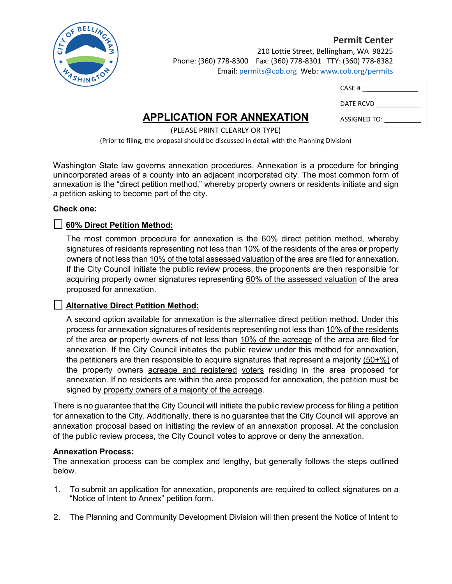

 **Permit Center** 210 Lottie Street, Bellingham, WA 98225 Phone: (360) 778-8300 Fax: (360) 778-8301 TTY: (360) 778-8382 Email: permits@cob.org Web: www.cob.org/permits

| CASE#        |
|--------------|
| DATE RCVD    |
| ASSIGNED TO: |

## **APPLICATION FOR ANNEXATION**

(PLEASE PRINT CLEARLY OR TYPE) (Prior to filing, the proposal should be discussed in detail with the Planning Division)

Washington State law governs annexation procedures. Annexation is a procedure for bringing unincorporated areas of a county into an adjacent incorporated city. The most common form of annexation is the "direct petition method," whereby property owners or residents initiate and sign a petition asking to become part of the city.

## **Check one:**

## ☐ **60% Direct Petition Method:**

The most common procedure for annexation is the 60% direct petition method, whereby signatures of residents representing not less than 10% of the residents of the area **or** property owners of not less than 10% of the total assessed valuation of the area are filed for annexation. If the City Council initiate the public review process, the proponents are then responsible for acquiring property owner signatures representing 60% of the assessed valuation of the area proposed for annexation.

## ☐ **Alternative Direct Petition Method:**

A second option available for annexation is the alternative direct petition method. Under this process for annexation signatures of residents representing not less than 10% of the residents of the area **or** property owners of not less than 10% of the acreage of the area are filed for annexation. If the City Council initiates the public review under this method for annexation, the petitioners are then responsible to acquire signatures that represent a majority (50+%) of the property owners acreage and registered voters residing in the area proposed for annexation. If no residents are within the area proposed for annexation, the petition must be signed by property owners of a majority of the acreage.

There is no guarantee that the City Council will initiate the public review process for filing a petition for annexation to the City. Additionally, there is no guarantee that the City Council will approve an annexation proposal based on initiating the review of an annexation proposal. At the conclusion of the public review process, the City Council votes to approve or deny the annexation.

#### **Annexation Process:**

The annexation process can be complex and lengthy, but generally follows the steps outlined below.

- 1. To submit an application for annexation, proponents are required to collect signatures on a "Notice of Intent to Annex" petition form.
- 2. The Planning and Community Development Division will then present the Notice of Intent to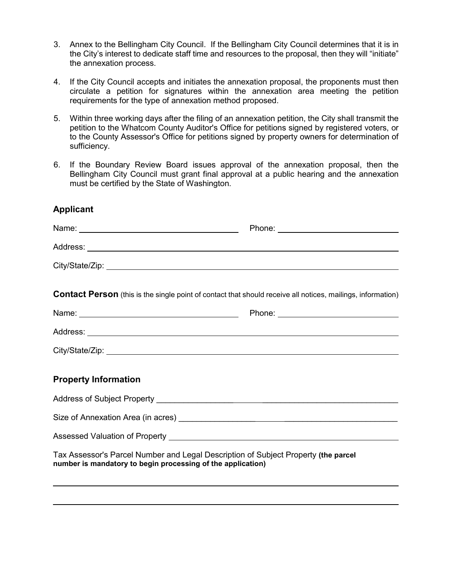- 3. Annex to the Bellingham City Council. If the Bellingham City Council determines that it is in the City's interest to dedicate staff time and resources to the proposal, then they will "initiate" the annexation process.
- 4. If the City Council accepts and initiates the annexation proposal, the proponents must then circulate a petition for signatures within the annexation area meeting the petition requirements for the type of annexation method proposed.
- 5. Within three working days after the filing of an annexation petition, the City shall transmit the petition to the Whatcom County Auditor's Office for petitions signed by registered voters, or to the County Assessor's Office for petitions signed by property owners for determination of sufficiency.
- 6. If the Boundary Review Board issues approval of the annexation proposal, then the Bellingham City Council must grant final approval at a public hearing and the annexation must be certified by the State of Washington.

## **Applicant**

| <b>Contact Person</b> (this is the single point of contact that should receive all notices, mailings, information)                                                                                                                   |  |
|--------------------------------------------------------------------------------------------------------------------------------------------------------------------------------------------------------------------------------------|--|
|                                                                                                                                                                                                                                      |  |
| Address: <u>with the contract of the contract of the contract of the contract of the contract of the contract of the contract of the contract of the contract of the contract of the contract of the contract of the contract of</u> |  |
|                                                                                                                                                                                                                                      |  |
|                                                                                                                                                                                                                                      |  |
| <b>Property Information</b>                                                                                                                                                                                                          |  |
|                                                                                                                                                                                                                                      |  |
|                                                                                                                                                                                                                                      |  |
|                                                                                                                                                                                                                                      |  |
| Tax Assessor's Parcel Number and Legal Description of Subject Property (the parcel<br>number is mandatory to begin processing of the application)                                                                                    |  |

l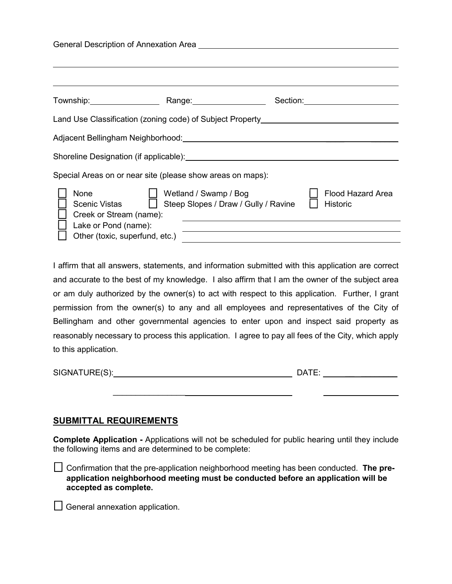| General Description of Annexation Area                                                                                                                                                                                         |                                                                      |                                             |  |  |  |
|--------------------------------------------------------------------------------------------------------------------------------------------------------------------------------------------------------------------------------|----------------------------------------------------------------------|---------------------------------------------|--|--|--|
| Township: Range: Range:                                                                                                                                                                                                        |                                                                      | Section: <u>_____________________</u>       |  |  |  |
| Land Use Classification (zoning code) of Subject Property_______________________                                                                                                                                               |                                                                      |                                             |  |  |  |
| Adjacent Bellingham Neighborhood: Network and the state of the state of the state of the state of the state of                                                                                                                 |                                                                      |                                             |  |  |  |
| Shoreline Designation (if applicable): Notified the state of the state of the state of the state of the state of the state of the state of the state of the state of the state of the state of the state of the state of the s |                                                                      |                                             |  |  |  |
| Special Areas on or near site (please show areas on maps):                                                                                                                                                                     |                                                                      |                                             |  |  |  |
| None<br>Scenic Vistas<br>Creek or Stream (name):<br>Lake or Pond (name):                                                                                                                                                       | Wetland / Swamp / Bog<br>$\Box$ Steep Slopes / Draw / Gully / Ravine | <b>Flood Hazard Area</b><br><b>Historic</b> |  |  |  |
| Other (toxic, superfund, etc.)                                                                                                                                                                                                 |                                                                      |                                             |  |  |  |

I affirm that all answers, statements, and information submitted with this application are correct and accurate to the best of my knowledge. I also affirm that I am the owner of the subject area or am duly authorized by the owner(s) to act with respect to this application. Further, I grant permission from the owner(s) to any and all employees and representatives of the City of Bellingham and other governmental agencies to enter upon and inspect said property as reasonably necessary to process this application. I agree to pay all fees of the City, which apply to this application.

| SIGNATURE(S): | ד∆ר |
|---------------|-----|
|               |     |

 $\overline{\phantom{a}}$  , which is a set of the set of the set of the set of the set of the set of the set of the set of the set of the set of the set of the set of the set of the set of the set of the set of the set of the set of th

## **SUBMITTAL REQUIREMENTS**

**Complete Application -** Applications will not be scheduled for public hearing until they include the following items and are determined to be complete:

☐ Confirmation that the pre-application neighborhood meeting has been conducted. **The preapplication neighborhood meeting must be conducted before an application will be accepted as complete.**

 $\Box$  General annexation application.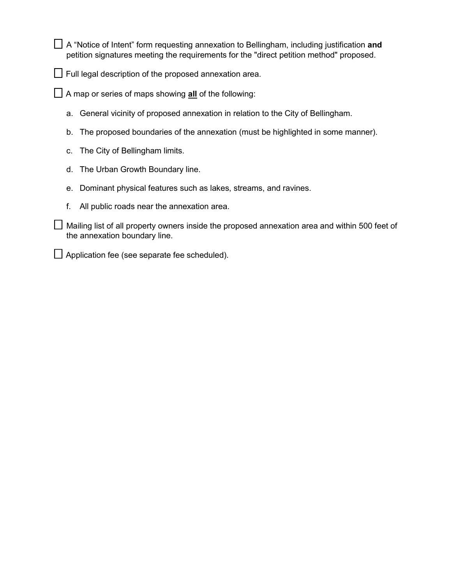□ A "Notice of Intent" form requesting annexation to Bellingham, including justification and petition signatures meeting the requirements for the "direct petition method" proposed.

 $\Box$  Full legal description of the proposed annexation area.

☐ A map or series of maps showing **all** of the following:

- a. General vicinity of proposed annexation in relation to the City of Bellingham.
- b. The proposed boundaries of the annexation (must be highlighted in some manner).
- c. The City of Bellingham limits.
- d. The Urban Growth Boundary line.
- e. Dominant physical features such as lakes, streams, and ravines.
- f. All public roads near the annexation area.

 $\Box$  Mailing list of all property owners inside the proposed annexation area and within 500 feet of the annexation boundary line.

□ Application fee (see separate fee scheduled).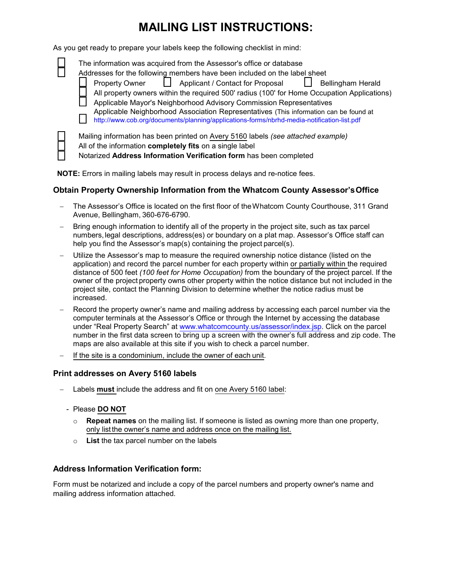# **MAILING LIST INSTRUCTIONS:**

As you get ready to prepare your labels keep the following checklist in mind:

| The information was acquired from the Assessor's office or database<br>Addresses for the following members have been included on the label sheet<br>Applicant / Contact for Proposal<br><b>Bellingham Herald</b><br><b>Property Owner</b><br>All property owners within the required 500' radius (100' for Home Occupation Applications)<br>Applicable Mayor's Neighborhood Advisory Commission Representatives<br>Applicable Neighborhood Association Representatives (This information can be found at<br>http://www.cob.org/documents/planning/applications-forms/nbrhd-media-notification-list.pdf |
|--------------------------------------------------------------------------------------------------------------------------------------------------------------------------------------------------------------------------------------------------------------------------------------------------------------------------------------------------------------------------------------------------------------------------------------------------------------------------------------------------------------------------------------------------------------------------------------------------------|
| Mailing information has been printed on Avery 5160 labels (see attached example)<br>All of the information completely fits on a single label                                                                                                                                                                                                                                                                                                                                                                                                                                                           |

**□ All of the information completely fits** on a single label<br>□ Notarized **Address Information Verification form** ha ☐ Notarized **Address Information Verification form** has been completed

**NOTE:** Errors in mailing labels may result in process delays and re-notice fees.

#### **Obtain Property Ownership Information from the Whatcom County Assessor'sOffice**

- The Assessor's Office is located on the first floor of theWhatcom County Courthouse, 311 Grand Avenue, Bellingham, 360-676-6790.
- Bring enough information to identify all of the property in the project site, such as tax parcel numbers, legal descriptions, address(es) or boundary on a plat map. Assessor's Office staff can help you find the Assessor's map(s) containing the project parcel(s).
- Utilize the Assessor's map to measure the required ownership notice distance (listed on the application) and record the parcel number for each property within or partially within the required distance of 500 feet *(100 feet for Home Occupation)* from the boundary of the project parcel. If the owner of the project property owns other property within the notice distance but not included in the project site, contact the Planning Division to determine whether the notice radius must be increased.
- Record the property owner's name and mailing address by accessing each parcel number via the computer terminals at the Assessor's Office or through the Internet by accessing the database under "Real Property Search" at www.whatcomcounty.us/assessor/index.jsp. Click on the parcel number in the first data screen to bring up a screen with the owner's full address and zip code. The maps are also available at this site if you wish to check a parcel number.
- If the site is a condominium, include the owner of each unit.

#### **Print addresses on Avery 5160 labels**

- Labels **must** include the address and fit on one Avery 5160 label:
	- Please **DO NOT**
		- o **Repeat names** on the mailing list. If someone is listed as owning more than one property, only listthe owner's name and address once on the mailing list.
		- o **List** the tax parcel number on the labels

#### **Address Information Verification form:**

Form must be notarized and include a copy of the parcel numbers and property owner's name and mailing address information attached.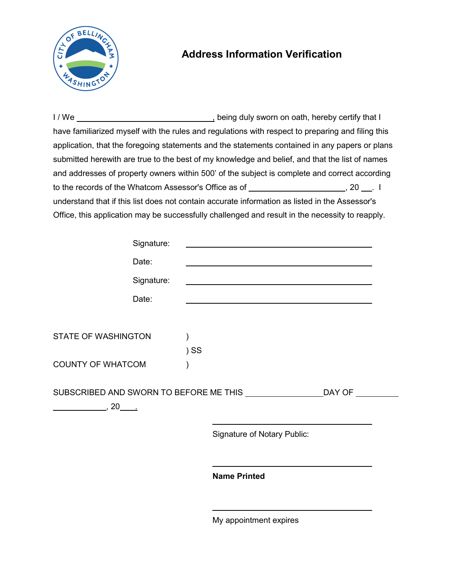

# **Address Information Verification**

I / We  $\frac{1}{1}$  We  $\frac{1}{1}$  We  $\frac{1}{1}$  Me  $\frac{1}{1}$  at I have familiarized myself with the rules and regulations with respect to preparing and filing this application, that the foregoing statements and the statements contained in any papers or plans submitted herewith are true to the best of my knowledge and belief, and that the list of names and addresses of property owners within 500' of the subject is complete and correct according to the records of the Whatcom Assessor's Office as of \_\_\_\_\_\_\_\_\_\_\_\_\_\_\_\_\_\_\_\_\_\_\_\_, 20 \_\_\_. I understand that if this list does not contain accurate information as listed in the Assessor's Office, this application may be successfully challenged and result in the necessity to reapply.

|                                                                                         |            | <b>Name Printed</b>                |        |  |
|-----------------------------------------------------------------------------------------|------------|------------------------------------|--------|--|
|                                                                                         |            |                                    |        |  |
|                                                                                         |            | <b>Signature of Notary Public:</b> |        |  |
| SUBSCRIBED AND SWORN TO BEFORE ME THIS UNDER THIS<br>$\frac{1}{20}$ , 20 $\frac{1}{20}$ |            |                                    | DAY OF |  |
| <b>COUNTY OF WHATCOM</b>                                                                |            |                                    |        |  |
|                                                                                         | $)$ SS     |                                    |        |  |
| <b>STATE OF WASHINGTON</b>                                                              |            |                                    |        |  |
|                                                                                         | Date:      |                                    |        |  |
|                                                                                         | Signature: |                                    |        |  |
|                                                                                         |            |                                    |        |  |
|                                                                                         | Date:      |                                    |        |  |
|                                                                                         | Signature: |                                    |        |  |

My appointment expires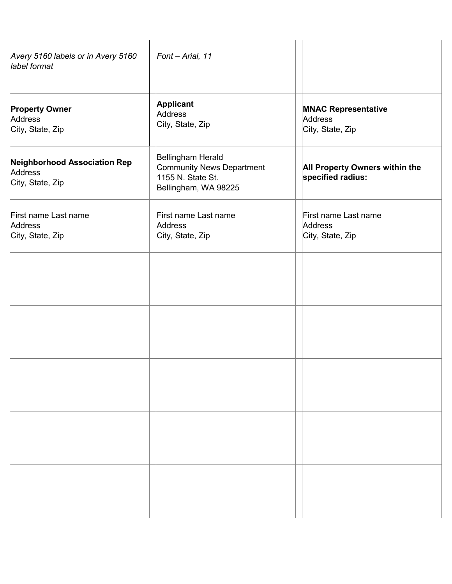| Avery 5160 labels or in Avery 5160<br>label format                 | Font - Arial, 11                                                                            |                                                           |
|--------------------------------------------------------------------|---------------------------------------------------------------------------------------------|-----------------------------------------------------------|
| <b>Property Owner</b><br>Address<br>City, State, Zip               | <b>Applicant</b><br>Address<br>City, State, Zip                                             | <b>MNAC Representative</b><br>Address<br>City, State, Zip |
| <b>Neighborhood Association Rep</b><br>Address<br>City, State, Zip | Bellingham Herald<br>Community News Department<br>1155 N. State St.<br>Bellingham, WA 98225 | All Property Owners within the<br>specified radius:       |
| First name Last name<br>Address<br>City, State, Zip                | First name Last name<br>Address<br>City, State, Zip                                         | First name Last name<br>Address<br>City, State, Zip       |
|                                                                    |                                                                                             |                                                           |
|                                                                    |                                                                                             |                                                           |
|                                                                    |                                                                                             |                                                           |
|                                                                    |                                                                                             |                                                           |
|                                                                    |                                                                                             |                                                           |